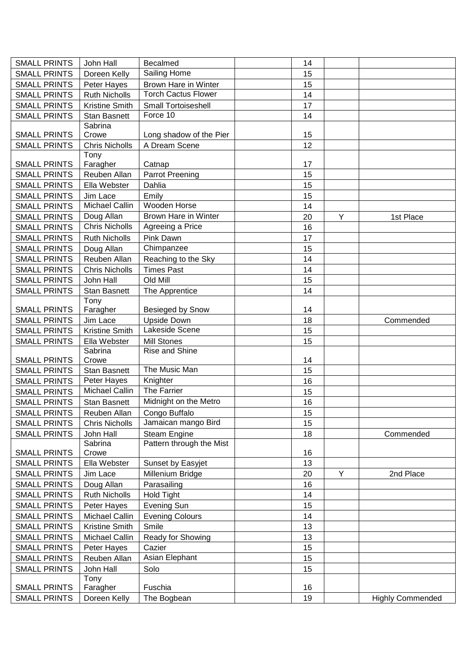| <b>SMALL PRINTS</b> | John Hall             | <b>Becalmed</b>             | 14 |   |                         |
|---------------------|-----------------------|-----------------------------|----|---|-------------------------|
| <b>SMALL PRINTS</b> | Doreen Kelly          | Sailing Home                | 15 |   |                         |
| <b>SMALL PRINTS</b> | Peter Hayes           | Brown Hare in Winter        | 15 |   |                         |
| <b>SMALL PRINTS</b> | <b>Ruth Nicholls</b>  | <b>Torch Cactus Flower</b>  | 14 |   |                         |
| <b>SMALL PRINTS</b> | Kristine Smith        | Small Tortoiseshell         | 17 |   |                         |
| <b>SMALL PRINTS</b> | <b>Stan Basnett</b>   | Force 10                    | 14 |   |                         |
|                     | Sabrina               |                             |    |   |                         |
| <b>SMALL PRINTS</b> | Crowe                 | Long shadow of the Pier     | 15 |   |                         |
| <b>SMALL PRINTS</b> | <b>Chris Nicholls</b> | A Dream Scene               | 12 |   |                         |
|                     | Tony                  |                             |    |   |                         |
| <b>SMALL PRINTS</b> | Faragher              | Catnap                      | 17 |   |                         |
| <b>SMALL PRINTS</b> | Reuben Allan          | <b>Parrot Preening</b>      | 15 |   |                         |
| <b>SMALL PRINTS</b> | Ella Webster          | Dahlia                      | 15 |   |                         |
| <b>SMALL PRINTS</b> | Jim Lace              | Emily                       | 15 |   |                         |
| <b>SMALL PRINTS</b> | Michael Callin        | Wooden Horse                | 14 |   |                         |
| <b>SMALL PRINTS</b> | Doug Allan            | <b>Brown Hare in Winter</b> | 20 | Y | 1st Place               |
| <b>SMALL PRINTS</b> | <b>Chris Nicholls</b> | Agreeing a Price            | 16 |   |                         |
| <b>SMALL PRINTS</b> | <b>Ruth Nicholls</b>  | Pink Dawn                   | 17 |   |                         |
| <b>SMALL PRINTS</b> | Doug Allan            | Chimpanzee                  | 15 |   |                         |
| <b>SMALL PRINTS</b> | Reuben Allan          | Reaching to the Sky         | 14 |   |                         |
| <b>SMALL PRINTS</b> | <b>Chris Nicholls</b> | <b>Times Past</b>           | 14 |   |                         |
| <b>SMALL PRINTS</b> | John Hall             | Old Mill                    | 15 |   |                         |
| <b>SMALL PRINTS</b> | <b>Stan Basnett</b>   | The Apprentice              | 14 |   |                         |
|                     | Tony                  |                             |    |   |                         |
| <b>SMALL PRINTS</b> | Faragher              | Besieged by Snow            | 14 |   |                         |
| <b>SMALL PRINTS</b> | Jim Lace              | <b>Upside Down</b>          | 18 |   | Commended               |
| <b>SMALL PRINTS</b> | Kristine Smith        | Lakeside Scene              | 15 |   |                         |
| <b>SMALL PRINTS</b> | Ella Webster          | <b>Mill Stones</b>          | 15 |   |                         |
|                     | Sabrina               | Rise and Shine              |    |   |                         |
| <b>SMALL PRINTS</b> | Crowe                 |                             | 14 |   |                         |
| <b>SMALL PRINTS</b> | <b>Stan Basnett</b>   | The Music Man               | 15 |   |                         |
| <b>SMALL PRINTS</b> | Peter Hayes           | Knighter                    | 16 |   |                         |
| <b>SMALL PRINTS</b> | Michael Callin        | The Farrier                 | 15 |   |                         |
| <b>SMALL PRINTS</b> | <b>Stan Basnett</b>   | Midnight on the Metro       | 16 |   |                         |
| <b>SMALL PRINTS</b> | Reuben Allan          | Congo Buffalo               | 15 |   |                         |
| <b>SMALL PRINTS</b> | <b>Chris Nicholls</b> | Jamaican mango Bird         | 15 |   |                         |
| <b>SMALL PRINTS</b> | John Hall             | Steam Engine                | 18 |   | Commended               |
|                     | Sabrina               | Pattern through the Mist    |    |   |                         |
| <b>SMALL PRINTS</b> | Crowe                 |                             | 16 |   |                         |
| <b>SMALL PRINTS</b> | Ella Webster          | Sunset by Easyjet           | 13 |   |                         |
| <b>SMALL PRINTS</b> | Jim Lace              | Millenium Bridge            | 20 | Υ | 2nd Place               |
| <b>SMALL PRINTS</b> | Doug Allan            | Parasailing                 | 16 |   |                         |
| <b>SMALL PRINTS</b> | <b>Ruth Nicholls</b>  | <b>Hold Tight</b>           | 14 |   |                         |
| <b>SMALL PRINTS</b> | Peter Hayes           | <b>Evening Sun</b>          | 15 |   |                         |
| <b>SMALL PRINTS</b> | Michael Callin        | <b>Evening Colours</b>      | 14 |   |                         |
| <b>SMALL PRINTS</b> | Kristine Smith        | Smile                       | 13 |   |                         |
| <b>SMALL PRINTS</b> | Michael Callin        | Ready for Showing           | 13 |   |                         |
| <b>SMALL PRINTS</b> | Peter Hayes           | Cazier                      | 15 |   |                         |
| <b>SMALL PRINTS</b> | Reuben Allan          | Asian Elephant              | 15 |   |                         |
| <b>SMALL PRINTS</b> | John Hall             | Solo                        | 15 |   |                         |
|                     | Tony                  |                             |    |   |                         |
| <b>SMALL PRINTS</b> | Faragher              | Fuschia                     | 16 |   |                         |
| <b>SMALL PRINTS</b> | Doreen Kelly          | The Bogbean                 | 19 |   | <b>Highly Commended</b> |